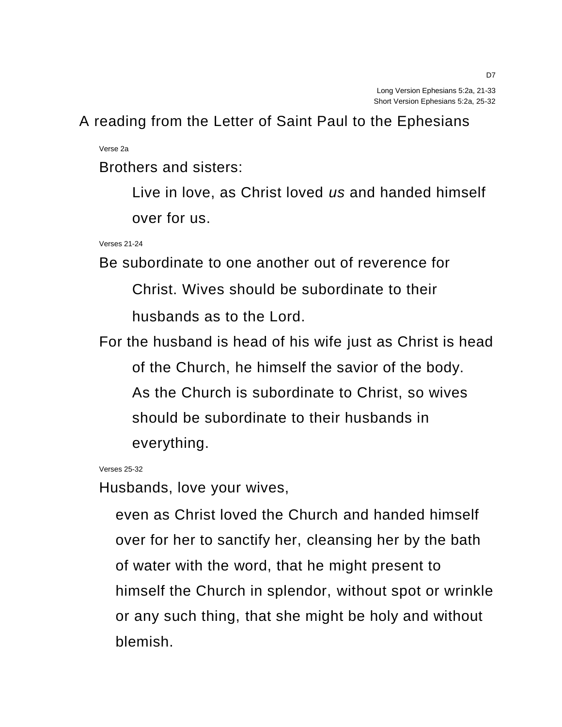A reading from the Letter of Saint Paul to the Ephesians

Verse 2a

Brothers and sisters:

Live in love, as Christ loved *us* and handed himself over for us.

Verses 21-24

Be subordinate to one another out of reverence for

Christ. Wives should be subordinate to their husbands as to the Lord.

For the husband is head of his wife just as Christ is head of the Church, he himself the savior of the body. As the Church is subordinate to Christ, so wives should be subordinate to their husbands in everything.

Verses 25-32

Husbands, love your wives,

even as Christ loved the Church and handed himself over for her to sanctify her, cleansing her by the bath of water with the word, that he might present to himself the Church in splendor, without spot or wrinkle or any such thing, that she might be holy and without blemish.